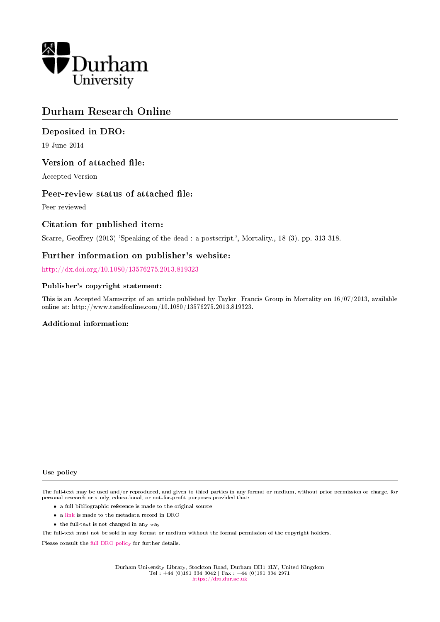

# Durham Research Online

# Deposited in DRO:

19 June 2014

# Version of attached file:

Accepted Version

# Peer-review status of attached file:

Peer-reviewed

# Citation for published item:

Scarre, Geoffrey (2013) 'Speaking of the dead : a postscript.', Mortality., 18 (3). pp. 313-318.

# Further information on publisher's website:

<http://dx.doi.org/10.1080/13576275.2013.819323>

#### Publisher's copyright statement:

This is an Accepted Manuscript of an article published by Taylor Francis Group in Mortality on 16/07/2013, available online at: http://www.tandfonline.com/10.1080/13576275.2013.819323.

#### Additional information:

#### Use policy

The full-text may be used and/or reproduced, and given to third parties in any format or medium, without prior permission or charge, for personal research or study, educational, or not-for-profit purposes provided that:

- a full bibliographic reference is made to the original source
- a [link](http://dro.dur.ac.uk/12773/) is made to the metadata record in DRO
- the full-text is not changed in any way

The full-text must not be sold in any format or medium without the formal permission of the copyright holders.

Please consult the [full DRO policy](https://dro.dur.ac.uk/policies/usepolicy.pdf) for further details.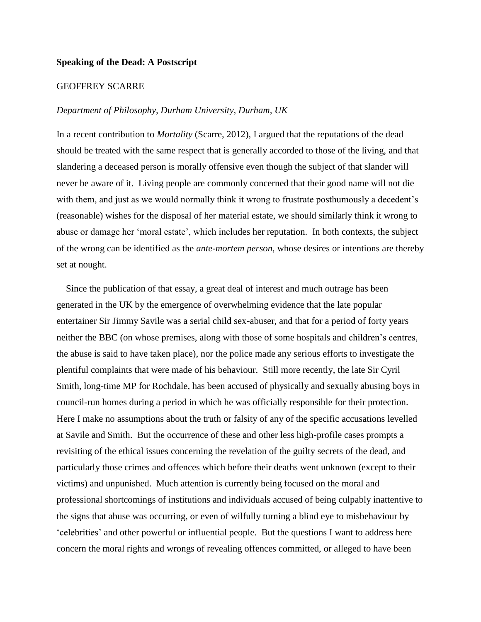# **Speaking of the Dead: A Postscript**

# GEOFFREY SCARRE

### *Department of Philosophy, Durham University, Durham, UK*

In a recent contribution to *Mortality* (Scarre, 2012), I argued that the reputations of the dead should be treated with the same respect that is generally accorded to those of the living, and that slandering a deceased person is morally offensive even though the subject of that slander will never be aware of it. Living people are commonly concerned that their good name will not die with them, and just as we would normally think it wrong to frustrate posthumously a decedent's (reasonable) wishes for the disposal of her material estate, we should similarly think it wrong to abuse or damage her 'moral estate', which includes her reputation. In both contexts, the subject of the wrong can be identified as the *ante-mortem person*, whose desires or intentions are thereby set at nought.

 Since the publication of that essay, a great deal of interest and much outrage has been generated in the UK by the emergence of overwhelming evidence that the late popular entertainer Sir Jimmy Savile was a serial child sex-abuser, and that for a period of forty years neither the BBC (on whose premises, along with those of some hospitals and children's centres, the abuse is said to have taken place), nor the police made any serious efforts to investigate the plentiful complaints that were made of his behaviour. Still more recently, the late Sir Cyril Smith, long-time MP for Rochdale, has been accused of physically and sexually abusing boys in council-run homes during a period in which he was officially responsible for their protection. Here I make no assumptions about the truth or falsity of any of the specific accusations levelled at Savile and Smith. But the occurrence of these and other less high-profile cases prompts a revisiting of the ethical issues concerning the revelation of the guilty secrets of the dead, and particularly those crimes and offences which before their deaths went unknown (except to their victims) and unpunished. Much attention is currently being focused on the moral and professional shortcomings of institutions and individuals accused of being culpably inattentive to the signs that abuse was occurring, or even of wilfully turning a blind eye to misbehaviour by 'celebrities' and other powerful or influential people. But the questions I want to address here concern the moral rights and wrongs of revealing offences committed, or alleged to have been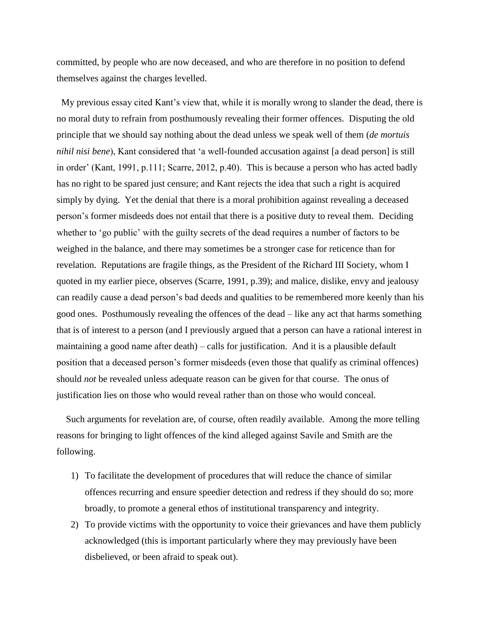committed, by people who are now deceased, and who are therefore in no position to defend themselves against the charges levelled.

 My previous essay cited Kant's view that, while it is morally wrong to slander the dead, there is no moral duty to refrain from posthumously revealing their former offences. Disputing the old principle that we should say nothing about the dead unless we speak well of them (*de mortuis nihil nisi bene*), Kant considered that 'a well-founded accusation against [a dead person] is still in order' (Kant, 1991, p.111; Scarre, 2012, p.40). This is because a person who has acted badly has no right to be spared just censure; and Kant rejects the idea that such a right is acquired simply by dying. Yet the denial that there is a moral prohibition against revealing a deceased person's former misdeeds does not entail that there is a positive duty to reveal them. Deciding whether to 'go public' with the guilty secrets of the dead requires a number of factors to be weighed in the balance, and there may sometimes be a stronger case for reticence than for revelation. Reputations are fragile things, as the President of the Richard III Society, whom I quoted in my earlier piece, observes (Scarre, 1991, p.39); and malice, dislike, envy and jealousy can readily cause a dead person's bad deeds and qualities to be remembered more keenly than his good ones. Posthumously revealing the offences of the dead – like any act that harms something that is of interest to a person (and I previously argued that a person can have a rational interest in maintaining a good name after death) – calls for justification. And it is a plausible default position that a deceased person's former misdeeds (even those that qualify as criminal offences) should *not* be revealed unless adequate reason can be given for that course. The onus of justification lies on those who would reveal rather than on those who would conceal.

 Such arguments for revelation are, of course, often readily available. Among the more telling reasons for bringing to light offences of the kind alleged against Savile and Smith are the following.

- 1) To facilitate the development of procedures that will reduce the chance of similar offences recurring and ensure speedier detection and redress if they should do so; more broadly, to promote a general ethos of institutional transparency and integrity.
- 2) To provide victims with the opportunity to voice their grievances and have them publicly acknowledged (this is important particularly where they may previously have been disbelieved, or been afraid to speak out).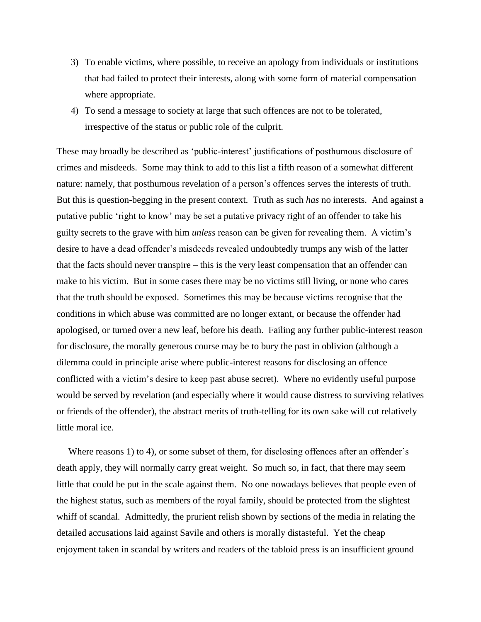- 3) To enable victims, where possible, to receive an apology from individuals or institutions that had failed to protect their interests, along with some form of material compensation where appropriate.
- 4) To send a message to society at large that such offences are not to be tolerated, irrespective of the status or public role of the culprit.

These may broadly be described as 'public-interest' justifications of posthumous disclosure of crimes and misdeeds. Some may think to add to this list a fifth reason of a somewhat different nature: namely, that posthumous revelation of a person's offences serves the interests of truth. But this is question-begging in the present context. Truth as such *has* no interests. And against a putative public 'right to know' may be set a putative privacy right of an offender to take his guilty secrets to the grave with him *unless* reason can be given for revealing them. A victim's desire to have a dead offender's misdeeds revealed undoubtedly trumps any wish of the latter that the facts should never transpire – this is the very least compensation that an offender can make to his victim. But in some cases there may be no victims still living, or none who cares that the truth should be exposed. Sometimes this may be because victims recognise that the conditions in which abuse was committed are no longer extant, or because the offender had apologised, or turned over a new leaf, before his death. Failing any further public-interest reason for disclosure, the morally generous course may be to bury the past in oblivion (although a dilemma could in principle arise where public-interest reasons for disclosing an offence conflicted with a victim's desire to keep past abuse secret). Where no evidently useful purpose would be served by revelation (and especially where it would cause distress to surviving relatives or friends of the offender), the abstract merits of truth-telling for its own sake will cut relatively little moral ice.

 Where reasons 1) to 4), or some subset of them, for disclosing offences after an offender's death apply, they will normally carry great weight. So much so, in fact, that there may seem little that could be put in the scale against them. No one nowadays believes that people even of the highest status, such as members of the royal family, should be protected from the slightest whiff of scandal. Admittedly, the prurient relish shown by sections of the media in relating the detailed accusations laid against Savile and others is morally distasteful. Yet the cheap enjoyment taken in scandal by writers and readers of the tabloid press is an insufficient ground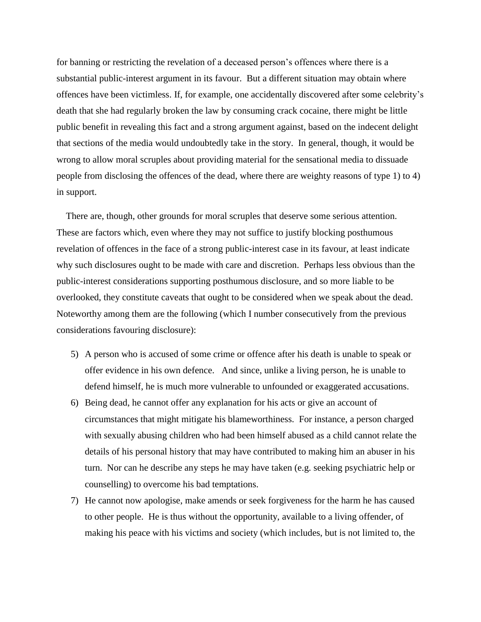for banning or restricting the revelation of a deceased person's offences where there is a substantial public-interest argument in its favour. But a different situation may obtain where offences have been victimless. If, for example, one accidentally discovered after some celebrity's death that she had regularly broken the law by consuming crack cocaine, there might be little public benefit in revealing this fact and a strong argument against, based on the indecent delight that sections of the media would undoubtedly take in the story. In general, though, it would be wrong to allow moral scruples about providing material for the sensational media to dissuade people from disclosing the offences of the dead, where there are weighty reasons of type 1) to 4) in support.

 There are, though, other grounds for moral scruples that deserve some serious attention. These are factors which, even where they may not suffice to justify blocking posthumous revelation of offences in the face of a strong public-interest case in its favour, at least indicate why such disclosures ought to be made with care and discretion. Perhaps less obvious than the public-interest considerations supporting posthumous disclosure, and so more liable to be overlooked, they constitute caveats that ought to be considered when we speak about the dead. Noteworthy among them are the following (which I number consecutively from the previous considerations favouring disclosure):

- 5) A person who is accused of some crime or offence after his death is unable to speak or offer evidence in his own defence. And since, unlike a living person, he is unable to defend himself, he is much more vulnerable to unfounded or exaggerated accusations.
- 6) Being dead, he cannot offer any explanation for his acts or give an account of circumstances that might mitigate his blameworthiness. For instance, a person charged with sexually abusing children who had been himself abused as a child cannot relate the details of his personal history that may have contributed to making him an abuser in his turn. Nor can he describe any steps he may have taken (e.g. seeking psychiatric help or counselling) to overcome his bad temptations.
- 7) He cannot now apologise, make amends or seek forgiveness for the harm he has caused to other people. He is thus without the opportunity, available to a living offender, of making his peace with his victims and society (which includes, but is not limited to, the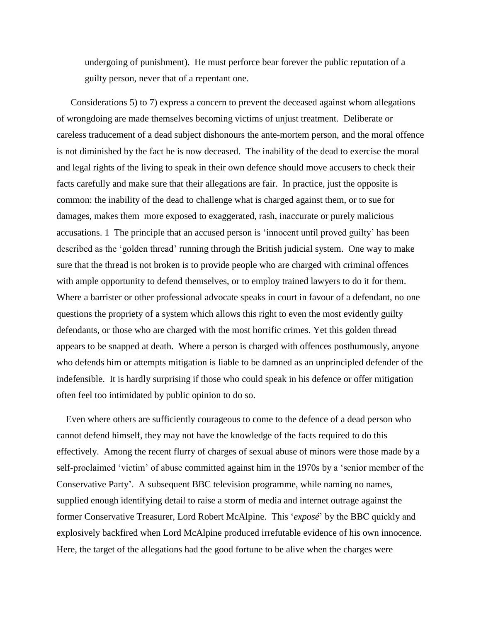undergoing of punishment). He must perforce bear forever the public reputation of a guilty person, never that of a repentant one.

 Considerations 5) to 7) express a concern to prevent the deceased against whom allegations of wrongdoing are made themselves becoming victims of unjust treatment. Deliberate or careless traducement of a dead subject dishonours the ante-mortem person, and the moral offence is not diminished by the fact he is now deceased. The inability of the dead to exercise the moral and legal rights of the living to speak in their own defence should move accusers to check their facts carefully and make sure that their allegations are fair. In practice, just the opposite is common: the inability of the dead to challenge what is charged against them, or to sue for damages, makes them more exposed to exaggerated, rash, inaccurate or purely malicious accusations. 1 The principle that an accused person is 'innocent until proved guilty' has been described as the 'golden thread' running through the British judicial system. One way to make sure that the thread is not broken is to provide people who are charged with criminal offences with ample opportunity to defend themselves, or to employ trained lawyers to do it for them. Where a barrister or other professional advocate speaks in court in favour of a defendant, no one questions the propriety of a system which allows this right to even the most evidently guilty defendants, or those who are charged with the most horrific crimes. Yet this golden thread appears to be snapped at death. Where a person is charged with offences posthumously, anyone who defends him or attempts mitigation is liable to be damned as an unprincipled defender of the indefensible. It is hardly surprising if those who could speak in his defence or offer mitigation often feel too intimidated by public opinion to do so.

 Even where others are sufficiently courageous to come to the defence of a dead person who cannot defend himself, they may not have the knowledge of the facts required to do this effectively. Among the recent flurry of charges of sexual abuse of minors were those made by a self-proclaimed 'victim' of abuse committed against him in the 1970s by a 'senior member of the Conservative Party'. A subsequent BBC television programme, while naming no names, supplied enough identifying detail to raise a storm of media and internet outrage against the former Conservative Treasurer, Lord Robert McAlpine. This '*exposé*' by the BBC quickly and explosively backfired when Lord McAlpine produced irrefutable evidence of his own innocence. Here, the target of the allegations had the good fortune to be alive when the charges were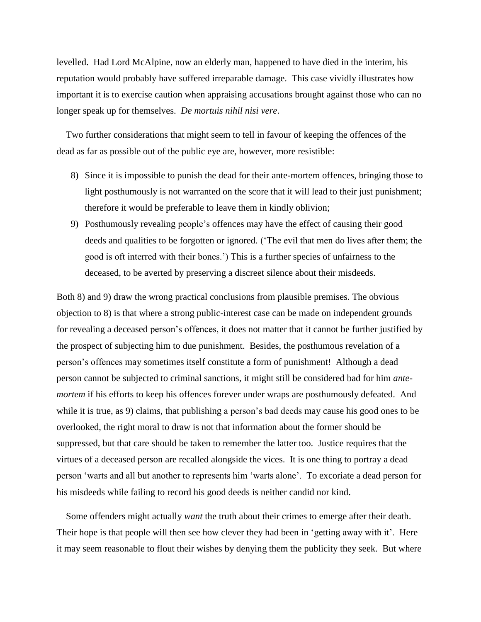levelled. Had Lord McAlpine, now an elderly man, happened to have died in the interim, his reputation would probably have suffered irreparable damage. This case vividly illustrates how important it is to exercise caution when appraising accusations brought against those who can no longer speak up for themselves. *De mortuis nihil nisi vere*.

 Two further considerations that might seem to tell in favour of keeping the offences of the dead as far as possible out of the public eye are, however, more resistible:

- 8) Since it is impossible to punish the dead for their ante-mortem offences, bringing those to light posthumously is not warranted on the score that it will lead to their just punishment; therefore it would be preferable to leave them in kindly oblivion;
- 9) Posthumously revealing people's offences may have the effect of causing their good deeds and qualities to be forgotten or ignored. ('The evil that men do lives after them; the good is oft interred with their bones.') This is a further species of unfairness to the deceased, to be averted by preserving a discreet silence about their misdeeds.

Both 8) and 9) draw the wrong practical conclusions from plausible premises. The obvious objection to 8) is that where a strong public-interest case can be made on independent grounds for revealing a deceased person's offences, it does not matter that it cannot be further justified by the prospect of subjecting him to due punishment. Besides, the posthumous revelation of a person's offences may sometimes itself constitute a form of punishment! Although a dead person cannot be subjected to criminal sanctions, it might still be considered bad for him *antemortem* if his efforts to keep his offences forever under wraps are posthumously defeated. And while it is true, as 9) claims, that publishing a person's bad deeds may cause his good ones to be overlooked, the right moral to draw is not that information about the former should be suppressed, but that care should be taken to remember the latter too. Justice requires that the virtues of a deceased person are recalled alongside the vices. It is one thing to portray a dead person 'warts and all but another to represents him 'warts alone'. To excoriate a dead person for his misdeeds while failing to record his good deeds is neither candid nor kind.

 Some offenders might actually *want* the truth about their crimes to emerge after their death. Their hope is that people will then see how clever they had been in 'getting away with it'. Here it may seem reasonable to flout their wishes by denying them the publicity they seek. But where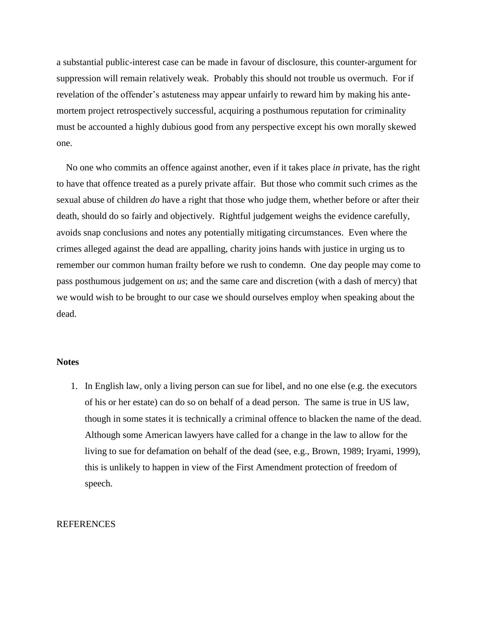a substantial public-interest case can be made in favour of disclosure, this counter-argument for suppression will remain relatively weak. Probably this should not trouble us overmuch. For if revelation of the offender's astuteness may appear unfairly to reward him by making his antemortem project retrospectively successful, acquiring a posthumous reputation for criminality must be accounted a highly dubious good from any perspective except his own morally skewed one.

 No one who commits an offence against another, even if it takes place *in* private, has the right to have that offence treated as a purely private affair. But those who commit such crimes as the sexual abuse of children *do* have a right that those who judge them, whether before or after their death, should do so fairly and objectively. Rightful judgement weighs the evidence carefully, avoids snap conclusions and notes any potentially mitigating circumstances. Even where the crimes alleged against the dead are appalling, charity joins hands with justice in urging us to remember our common human frailty before we rush to condemn. One day people may come to pass posthumous judgement on *us*; and the same care and discretion (with a dash of mercy) that we would wish to be brought to our case we should ourselves employ when speaking about the dead.

# **Notes**

1. In English law, only a living person can sue for libel, and no one else (e.g. the executors of his or her estate) can do so on behalf of a dead person. The same is true in US law, though in some states it is technically a criminal offence to blacken the name of the dead. Although some American lawyers have called for a change in the law to allow for the living to sue for defamation on behalf of the dead (see, e.g., Brown, 1989; Iryami, 1999), this is unlikely to happen in view of the First Amendment protection of freedom of speech.

## **REFERENCES**